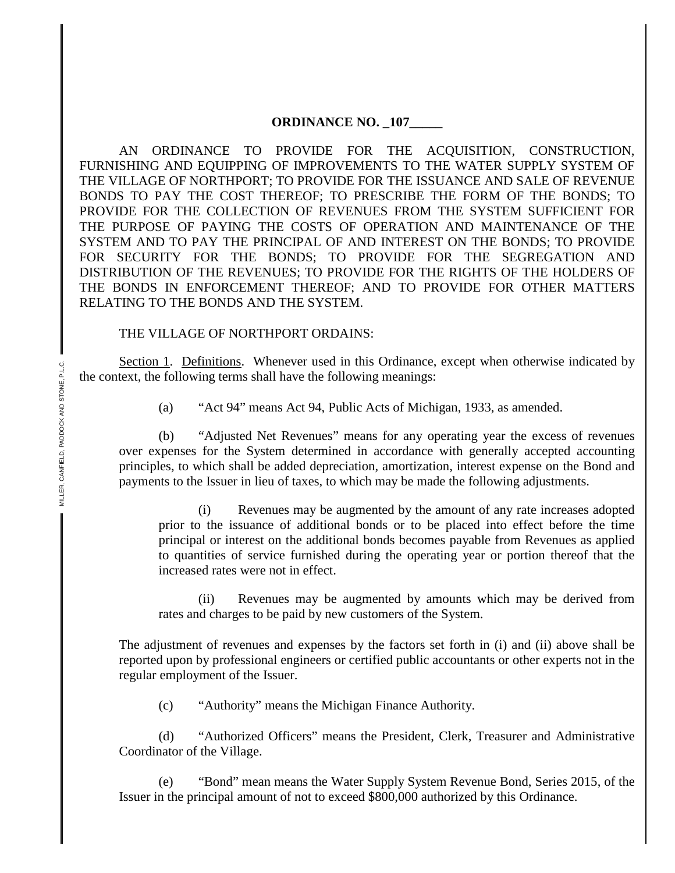### **ORDINANCE NO. 107**

AN ORDINANCE TO PROVIDE FOR THE ACQUISITION, CONSTRUCTION, FURNISHING AND EQUIPPING OF IMPROVEMENTS TO THE WATER SUPPLY SYSTEM OF THE VILLAGE OF NORTHPORT; TO PROVIDE FOR THE ISSUANCE AND SALE OF REVENUE BONDS TO PAY THE COST THEREOF; TO PRESCRIBE THE FORM OF THE BONDS; TO PROVIDE FOR THE COLLECTION OF REVENUES FROM THE SYSTEM SUFFICIENT FOR THE PURPOSE OF PAYING THE COSTS OF OPERATION AND MAINTENANCE OF THE SYSTEM AND TO PAY THE PRINCIPAL OF AND INTEREST ON THE BONDS; TO PROVIDE FOR SECURITY FOR THE BONDS; TO PROVIDE FOR THE SEGREGATION AND DISTRIBUTION OF THE REVENUES; TO PROVIDE FOR THE RIGHTS OF THE HOLDERS OF THE BONDS IN ENFORCEMENT THEREOF; AND TO PROVIDE FOR OTHER MATTERS RELATING TO THE BONDS AND THE SYSTEM.

## THE VILLAGE OF NORTHPORT ORDAINS:

Section 1. Definitions. Whenever used in this Ordinance, except when otherwise indicated by the context, the following terms shall have the following meanings:

(a) "Act 94" means Act 94, Public Acts of Michigan, 1933, as amended.

(b) "Adjusted Net Revenues" means for any operating year the excess of revenues over expenses for the System determined in accordance with generally accepted accounting principles, to which shall be added depreciation, amortization, interest expense on the Bond and payments to the Issuer in lieu of taxes, to which may be made the following adjustments.

(i) Revenues may be augmented by the amount of any rate increases adopted prior to the issuance of additional bonds or to be placed into effect before the time principal or interest on the additional bonds becomes payable from Revenues as applied to quantities of service furnished during the operating year or portion thereof that the increased rates were not in effect.

(ii) Revenues may be augmented by amounts which may be derived from rates and charges to be paid by new customers of the System.

The adjustment of revenues and expenses by the factors set forth in (i) and (ii) above shall be reported upon by professional engineers or certified public accountants or other experts not in the regular employment of the Issuer.

(c) "Authority" means the Michigan Finance Authority.

(d) "Authorized Officers" means the President, Clerk, Treasurer and Administrative Coordinator of the Village.

(e) "Bond" mean means the Water Supply System Revenue Bond, Series 2015, of the Issuer in the principal amount of not to exceed \$800,000 authorized by this Ordinance.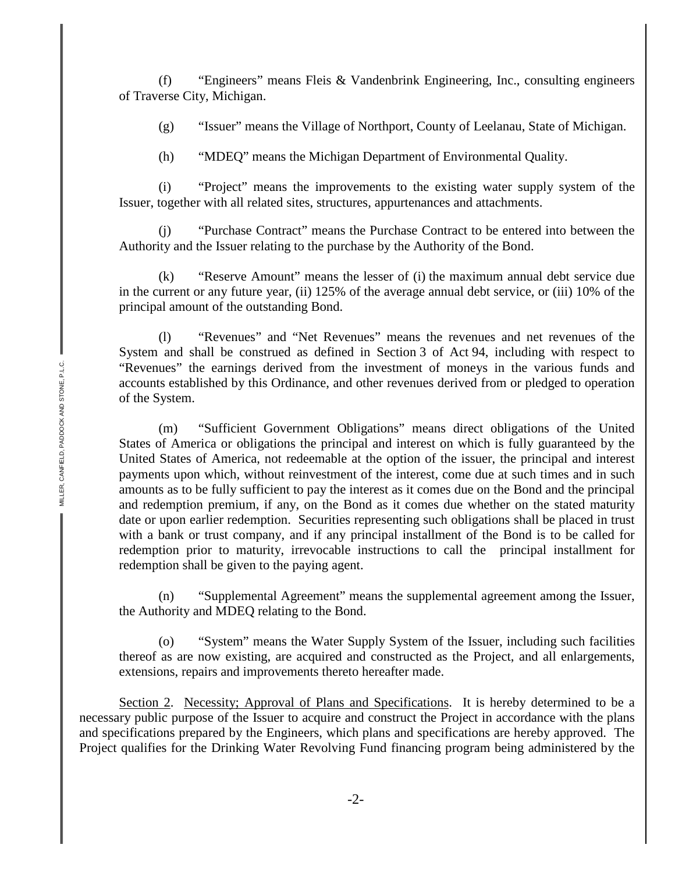(f) "Engineers" means Fleis & Vandenbrink Engineering, Inc., consulting engineers of Traverse City, Michigan.

(g) "Issuer" means the Village of Northport, County of Leelanau, State of Michigan.

(h) "MDEQ" means the Michigan Department of Environmental Quality.

(i) "Project" means the improvements to the existing water supply system of the Issuer, together with all related sites, structures, appurtenances and attachments.

(j) "Purchase Contract" means the Purchase Contract to be entered into between the Authority and the Issuer relating to the purchase by the Authority of the Bond.

(k) "Reserve Amount" means the lesser of (i) the maximum annual debt service due in the current or any future year, (ii) 125% of the average annual debt service, or (iii) 10% of the principal amount of the outstanding Bond.

(l) "Revenues" and "Net Revenues" means the revenues and net revenues of the System and shall be construed as defined in Section 3 of Act 94, including with respect to "Revenues" the earnings derived from the investment of moneys in the various funds and accounts established by this Ordinance, and other revenues derived from or pledged to operation of the System.

(m) "Sufficient Government Obligations" means direct obligations of the United States of America or obligations the principal and interest on which is fully guaranteed by the United States of America, not redeemable at the option of the issuer, the principal and interest payments upon which, without reinvestment of the interest, come due at such times and in such amounts as to be fully sufficient to pay the interest as it comes due on the Bond and the principal and redemption premium, if any, on the Bond as it comes due whether on the stated maturity date or upon earlier redemption. Securities representing such obligations shall be placed in trust with a bank or trust company, and if any principal installment of the Bond is to be called for redemption prior to maturity, irrevocable instructions to call the principal installment for redemption shall be given to the paying agent.

(n) "Supplemental Agreement" means the supplemental agreement among the Issuer, the Authority and MDEQ relating to the Bond.

(o) "System" means the Water Supply System of the Issuer, including such facilities thereof as are now existing, are acquired and constructed as the Project, and all enlargements, extensions, repairs and improvements thereto hereafter made.

Section 2. Necessity; Approval of Plans and Specifications. It is hereby determined to be a necessary public purpose of the Issuer to acquire and construct the Project in accordance with the plans and specifications prepared by the Engineers, which plans and specifications are hereby approved. The Project qualifies for the Drinking Water Revolving Fund financing program being administered by the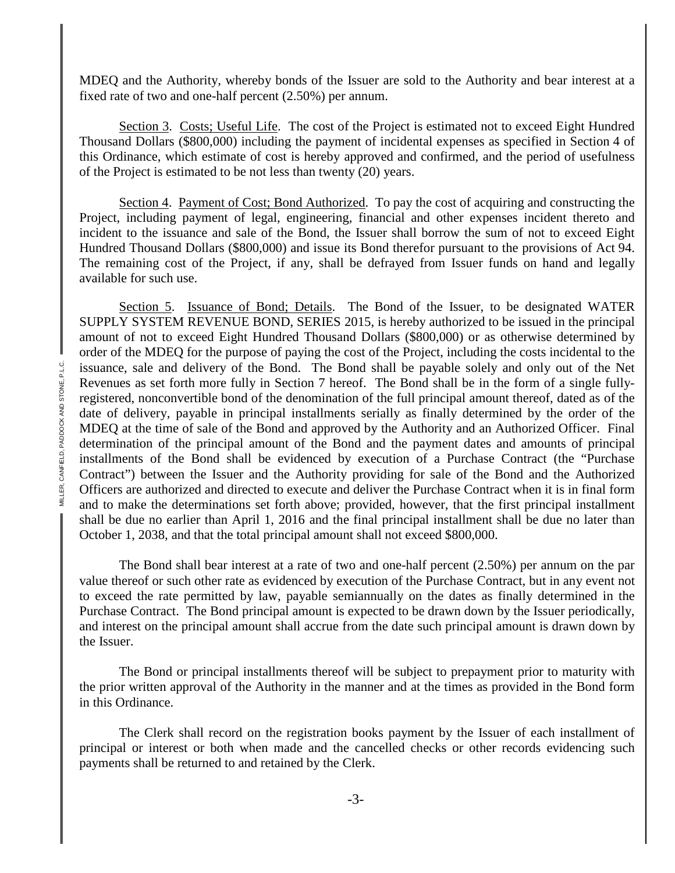MDEQ and the Authority, whereby bonds of the Issuer are sold to the Authority and bear interest at a fixed rate of two and one-half percent (2.50%) per annum.

Section 3. Costs; Useful Life. The cost of the Project is estimated not to exceed Eight Hundred Thousand Dollars (\$800,000) including the payment of incidental expenses as specified in Section 4 of this Ordinance, which estimate of cost is hereby approved and confirmed, and the period of usefulness of the Project is estimated to be not less than twenty (20) years.

Section 4. Payment of Cost; Bond Authorized. To pay the cost of acquiring and constructing the Project, including payment of legal, engineering, financial and other expenses incident thereto and incident to the issuance and sale of the Bond, the Issuer shall borrow the sum of not to exceed Eight Hundred Thousand Dollars (\$800,000) and issue its Bond therefor pursuant to the provisions of Act 94. The remaining cost of the Project, if any, shall be defrayed from Issuer funds on hand and legally available for such use.

Section 5. Issuance of Bond; Details. The Bond of the Issuer, to be designated WATER SUPPLY SYSTEM REVENUE BOND, SERIES 2015, is hereby authorized to be issued in the principal amount of not to exceed Eight Hundred Thousand Dollars (\$800,000) or as otherwise determined by order of the MDEQ for the purpose of paying the cost of the Project, including the costs incidental to the issuance, sale and delivery of the Bond. The Bond shall be payable solely and only out of the Net Revenues as set forth more fully in Section 7 hereof. The Bond shall be in the form of a single fullyregistered, nonconvertible bond of the denomination of the full principal amount thereof, dated as of the date of delivery, payable in principal installments serially as finally determined by the order of the MDEQ at the time of sale of the Bond and approved by the Authority and an Authorized Officer. Final determination of the principal amount of the Bond and the payment dates and amounts of principal installments of the Bond shall be evidenced by execution of a Purchase Contract (the "Purchase Contract") between the Issuer and the Authority providing for sale of the Bond and the Authorized Officers are authorized and directed to execute and deliver the Purchase Contract when it is in final form and to make the determinations set forth above; provided, however, that the first principal installment shall be due no earlier than April 1, 2016 and the final principal installment shall be due no later than October 1, 2038, and that the total principal amount shall not exceed \$800,000.

The Bond shall bear interest at a rate of two and one-half percent (2.50%) per annum on the par value thereof or such other rate as evidenced by execution of the Purchase Contract, but in any event not to exceed the rate permitted by law, payable semiannually on the dates as finally determined in the Purchase Contract. The Bond principal amount is expected to be drawn down by the Issuer periodically, and interest on the principal amount shall accrue from the date such principal amount is drawn down by the Issuer.

The Bond or principal installments thereof will be subject to prepayment prior to maturity with the prior written approval of the Authority in the manner and at the times as provided in the Bond form in this Ordinance.

The Clerk shall record on the registration books payment by the Issuer of each installment of principal or interest or both when made and the cancelled checks or other records evidencing such payments shall be returned to and retained by the Clerk.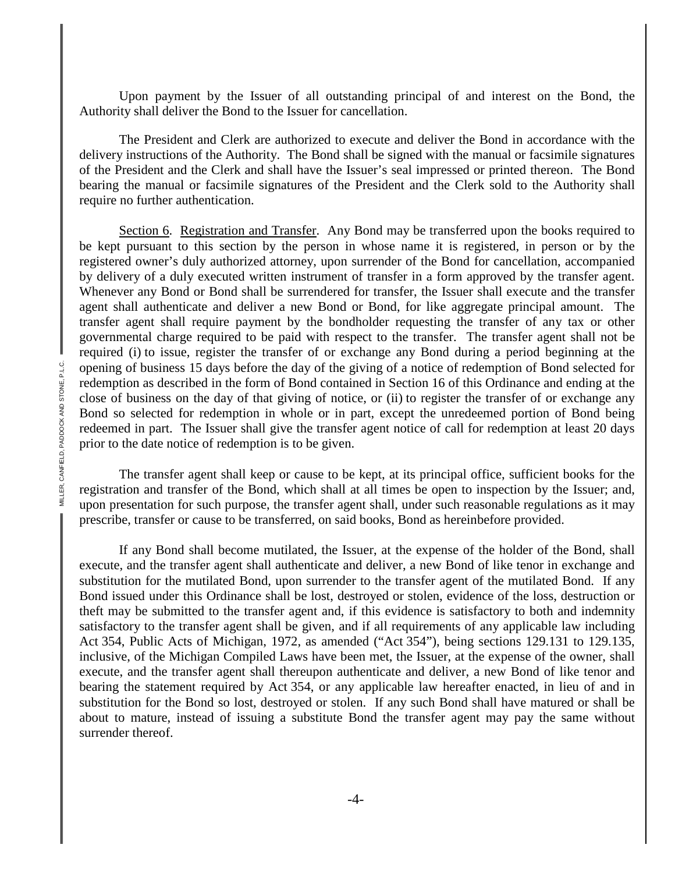Upon payment by the Issuer of all outstanding principal of and interest on the Bond, the Authority shall deliver the Bond to the Issuer for cancellation.

The President and Clerk are authorized to execute and deliver the Bond in accordance with the delivery instructions of the Authority. The Bond shall be signed with the manual or facsimile signatures of the President and the Clerk and shall have the Issuer's seal impressed or printed thereon. The Bond bearing the manual or facsimile signatures of the President and the Clerk sold to the Authority shall require no further authentication.

Section 6. Registration and Transfer. Any Bond may be transferred upon the books required to be kept pursuant to this section by the person in whose name it is registered, in person or by the registered owner's duly authorized attorney, upon surrender of the Bond for cancellation, accompanied by delivery of a duly executed written instrument of transfer in a form approved by the transfer agent. Whenever any Bond or Bond shall be surrendered for transfer, the Issuer shall execute and the transfer agent shall authenticate and deliver a new Bond or Bond, for like aggregate principal amount. The transfer agent shall require payment by the bondholder requesting the transfer of any tax or other governmental charge required to be paid with respect to the transfer. The transfer agent shall not be required (i) to issue, register the transfer of or exchange any Bond during a period beginning at the opening of business 15 days before the day of the giving of a notice of redemption of Bond selected for redemption as described in the form of Bond contained in Section 16 of this Ordinance and ending at the close of business on the day of that giving of notice, or (ii) to register the transfer of or exchange any Bond so selected for redemption in whole or in part, except the unredeemed portion of Bond being redeemed in part. The Issuer shall give the transfer agent notice of call for redemption at least 20 days prior to the date notice of redemption is to be given.

The transfer agent shall keep or cause to be kept, at its principal office, sufficient books for the registration and transfer of the Bond, which shall at all times be open to inspection by the Issuer; and, upon presentation for such purpose, the transfer agent shall, under such reasonable regulations as it may prescribe, transfer or cause to be transferred, on said books, Bond as hereinbefore provided.

If any Bond shall become mutilated, the Issuer, at the expense of the holder of the Bond, shall execute, and the transfer agent shall authenticate and deliver, a new Bond of like tenor in exchange and substitution for the mutilated Bond, upon surrender to the transfer agent of the mutilated Bond. If any Bond issued under this Ordinance shall be lost, destroyed or stolen, evidence of the loss, destruction or theft may be submitted to the transfer agent and, if this evidence is satisfactory to both and indemnity satisfactory to the transfer agent shall be given, and if all requirements of any applicable law including Act 354, Public Acts of Michigan, 1972, as amended ("Act 354"), being sections 129.131 to 129.135, inclusive, of the Michigan Compiled Laws have been met, the Issuer, at the expense of the owner, shall execute, and the transfer agent shall thereupon authenticate and deliver, a new Bond of like tenor and bearing the statement required by Act 354, or any applicable law hereafter enacted, in lieu of and in substitution for the Bond so lost, destroyed or stolen. If any such Bond shall have matured or shall be about to mature, instead of issuing a substitute Bond the transfer agent may pay the same without surrender thereof.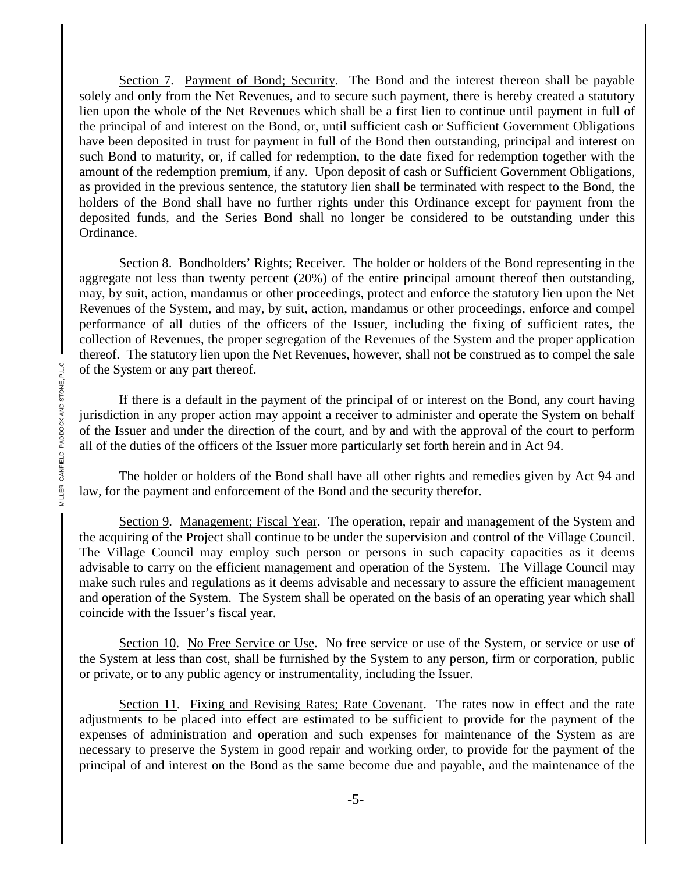Section 7. Payment of Bond; Security. The Bond and the interest thereon shall be payable solely and only from the Net Revenues, and to secure such payment, there is hereby created a statutory lien upon the whole of the Net Revenues which shall be a first lien to continue until payment in full of the principal of and interest on the Bond, or, until sufficient cash or Sufficient Government Obligations have been deposited in trust for payment in full of the Bond then outstanding, principal and interest on such Bond to maturity, or, if called for redemption, to the date fixed for redemption together with the amount of the redemption premium, if any. Upon deposit of cash or Sufficient Government Obligations, as provided in the previous sentence, the statutory lien shall be terminated with respect to the Bond, the holders of the Bond shall have no further rights under this Ordinance except for payment from the deposited funds, and the Series Bond shall no longer be considered to be outstanding under this Ordinance.

Section 8. Bondholders' Rights; Receiver. The holder or holders of the Bond representing in the aggregate not less than twenty percent (20%) of the entire principal amount thereof then outstanding, may, by suit, action, mandamus or other proceedings, protect and enforce the statutory lien upon the Net Revenues of the System, and may, by suit, action, mandamus or other proceedings, enforce and compel performance of all duties of the officers of the Issuer, including the fixing of sufficient rates, the collection of Revenues, the proper segregation of the Revenues of the System and the proper application thereof. The statutory lien upon the Net Revenues, however, shall not be construed as to compel the sale of the System or any part thereof.

If there is a default in the payment of the principal of or interest on the Bond, any court having jurisdiction in any proper action may appoint a receiver to administer and operate the System on behalf of the Issuer and under the direction of the court, and by and with the approval of the court to perform all of the duties of the officers of the Issuer more particularly set forth herein and in Act 94.

The holder or holders of the Bond shall have all other rights and remedies given by Act 94 and law, for the payment and enforcement of the Bond and the security therefor.

Section 9. Management; Fiscal Year. The operation, repair and management of the System and the acquiring of the Project shall continue to be under the supervision and control of the Village Council. The Village Council may employ such person or persons in such capacity capacities as it deems advisable to carry on the efficient management and operation of the System. The Village Council may make such rules and regulations as it deems advisable and necessary to assure the efficient management and operation of the System. The System shall be operated on the basis of an operating year which shall coincide with the Issuer's fiscal year.

Section 10. No Free Service or Use. No free service or use of the System, or service or use of the System at less than cost, shall be furnished by the System to any person, firm or corporation, public or private, or to any public agency or instrumentality, including the Issuer.

Section 11. Fixing and Revising Rates; Rate Covenant. The rates now in effect and the rate adjustments to be placed into effect are estimated to be sufficient to provide for the payment of the expenses of administration and operation and such expenses for maintenance of the System as are necessary to preserve the System in good repair and working order, to provide for the payment of the principal of and interest on the Bond as the same become due and payable, and the maintenance of the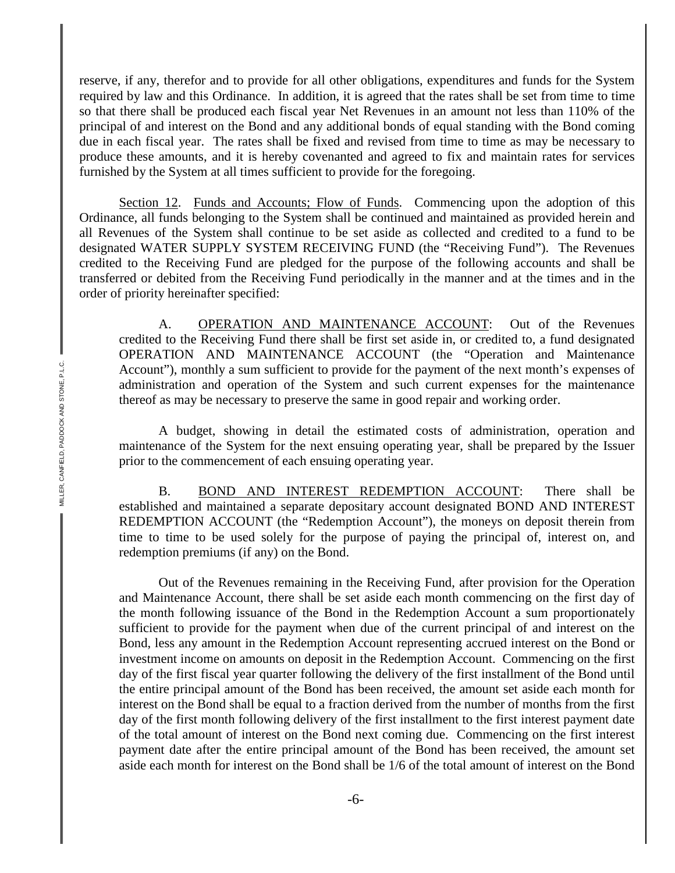reserve, if any, therefor and to provide for all other obligations, expenditures and funds for the System required by law and this Ordinance. In addition, it is agreed that the rates shall be set from time to time so that there shall be produced each fiscal year Net Revenues in an amount not less than 110% of the principal of and interest on the Bond and any additional bonds of equal standing with the Bond coming due in each fiscal year. The rates shall be fixed and revised from time to time as may be necessary to produce these amounts, and it is hereby covenanted and agreed to fix and maintain rates for services furnished by the System at all times sufficient to provide for the foregoing.

Section 12. Funds and Accounts; Flow of Funds. Commencing upon the adoption of this Ordinance, all funds belonging to the System shall be continued and maintained as provided herein and all Revenues of the System shall continue to be set aside as collected and credited to a fund to be designated WATER SUPPLY SYSTEM RECEIVING FUND (the "Receiving Fund"). The Revenues credited to the Receiving Fund are pledged for the purpose of the following accounts and shall be transferred or debited from the Receiving Fund periodically in the manner and at the times and in the order of priority hereinafter specified:

A. OPERATION AND MAINTENANCE ACCOUNT: Out of the Revenues credited to the Receiving Fund there shall be first set aside in, or credited to, a fund designated OPERATION AND MAINTENANCE ACCOUNT (the "Operation and Maintenance Account"), monthly a sum sufficient to provide for the payment of the next month's expenses of administration and operation of the System and such current expenses for the maintenance thereof as may be necessary to preserve the same in good repair and working order.

A budget, showing in detail the estimated costs of administration, operation and maintenance of the System for the next ensuing operating year, shall be prepared by the Issuer prior to the commencement of each ensuing operating year.

B. BOND AND INTEREST REDEMPTION ACCOUNT: There shall be established and maintained a separate depositary account designated BOND AND INTEREST REDEMPTION ACCOUNT (the "Redemption Account"), the moneys on deposit therein from time to time to be used solely for the purpose of paying the principal of, interest on, and redemption premiums (if any) on the Bond.

Out of the Revenues remaining in the Receiving Fund, after provision for the Operation and Maintenance Account, there shall be set aside each month commencing on the first day of the month following issuance of the Bond in the Redemption Account a sum proportionately sufficient to provide for the payment when due of the current principal of and interest on the Bond, less any amount in the Redemption Account representing accrued interest on the Bond or investment income on amounts on deposit in the Redemption Account. Commencing on the first day of the first fiscal year quarter following the delivery of the first installment of the Bond until the entire principal amount of the Bond has been received, the amount set aside each month for interest on the Bond shall be equal to a fraction derived from the number of months from the first day of the first month following delivery of the first installment to the first interest payment date of the total amount of interest on the Bond next coming due. Commencing on the first interest payment date after the entire principal amount of the Bond has been received, the amount set aside each month for interest on the Bond shall be 1/6 of the total amount of interest on the Bond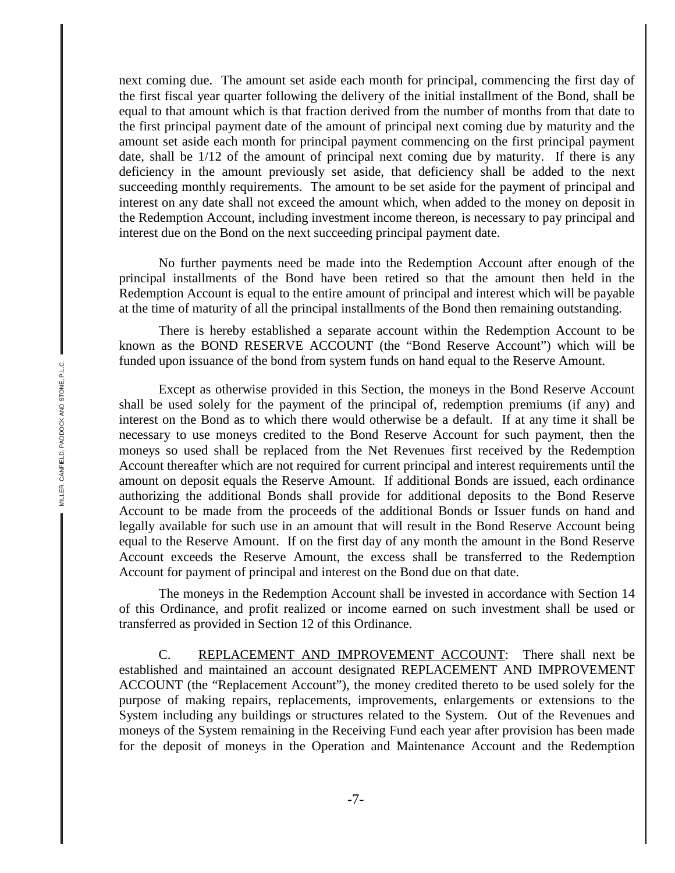next coming due. The amount set aside each month for principal, commencing the first day of the first fiscal year quarter following the delivery of the initial installment of the Bond, shall be equal to that amount which is that fraction derived from the number of months from that date to the first principal payment date of the amount of principal next coming due by maturity and the amount set aside each month for principal payment commencing on the first principal payment date, shall be 1/12 of the amount of principal next coming due by maturity. If there is any deficiency in the amount previously set aside, that deficiency shall be added to the next succeeding monthly requirements. The amount to be set aside for the payment of principal and interest on any date shall not exceed the amount which, when added to the money on deposit in the Redemption Account, including investment income thereon, is necessary to pay principal and interest due on the Bond on the next succeeding principal payment date.

No further payments need be made into the Redemption Account after enough of the principal installments of the Bond have been retired so that the amount then held in the Redemption Account is equal to the entire amount of principal and interest which will be payable at the time of maturity of all the principal installments of the Bond then remaining outstanding.

There is hereby established a separate account within the Redemption Account to be known as the BOND RESERVE ACCOUNT (the "Bond Reserve Account") which will be funded upon issuance of the bond from system funds on hand equal to the Reserve Amount.

Except as otherwise provided in this Section, the moneys in the Bond Reserve Account shall be used solely for the payment of the principal of, redemption premiums (if any) and interest on the Bond as to which there would otherwise be a default. If at any time it shall be necessary to use moneys credited to the Bond Reserve Account for such payment, then the moneys so used shall be replaced from the Net Revenues first received by the Redemption Account thereafter which are not required for current principal and interest requirements until the amount on deposit equals the Reserve Amount. If additional Bonds are issued, each ordinance authorizing the additional Bonds shall provide for additional deposits to the Bond Reserve Account to be made from the proceeds of the additional Bonds or Issuer funds on hand and legally available for such use in an amount that will result in the Bond Reserve Account being equal to the Reserve Amount. If on the first day of any month the amount in the Bond Reserve Account exceeds the Reserve Amount, the excess shall be transferred to the Redemption Account for payment of principal and interest on the Bond due on that date.

The moneys in the Redemption Account shall be invested in accordance with Section 14 of this Ordinance, and profit realized or income earned on such investment shall be used or transferred as provided in Section 12 of this Ordinance.

C. REPLACEMENT AND IMPROVEMENT ACCOUNT: There shall next be established and maintained an account designated REPLACEMENT AND IMPROVEMENT ACCOUNT (the "Replacement Account"), the money credited thereto to be used solely for the purpose of making repairs, replacements, improvements, enlargements or extensions to the System including any buildings or structures related to the System. Out of the Revenues and moneys of the System remaining in the Receiving Fund each year after provision has been made for the deposit of moneys in the Operation and Maintenance Account and the Redemption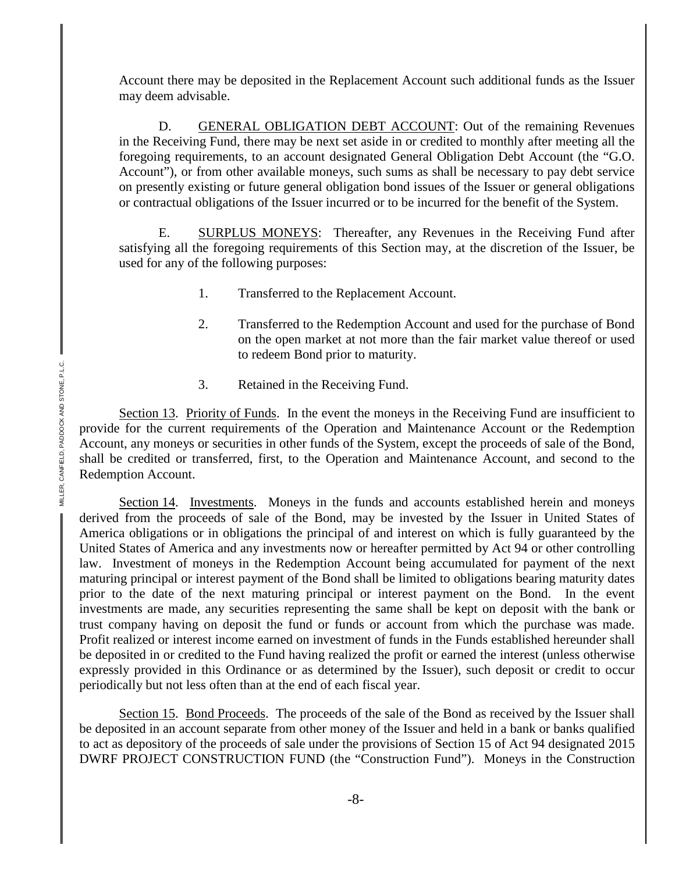Account there may be deposited in the Replacement Account such additional funds as the Issuer may deem advisable.

D. GENERAL OBLIGATION DEBT ACCOUNT: Out of the remaining Revenues in the Receiving Fund, there may be next set aside in or credited to monthly after meeting all the foregoing requirements, to an account designated General Obligation Debt Account (the "G.O. Account"), or from other available moneys, such sums as shall be necessary to pay debt service on presently existing or future general obligation bond issues of the Issuer or general obligations or contractual obligations of the Issuer incurred or to be incurred for the benefit of the System.

E. SURPLUS MONEYS: Thereafter, any Revenues in the Receiving Fund after satisfying all the foregoing requirements of this Section may, at the discretion of the Issuer, be used for any of the following purposes:

- 1. Transferred to the Replacement Account.
- 2. Transferred to the Redemption Account and used for the purchase of Bond on the open market at not more than the fair market value thereof or used to redeem Bond prior to maturity.
- 3. Retained in the Receiving Fund.

Section 13. Priority of Funds. In the event the moneys in the Receiving Fund are insufficient to provide for the current requirements of the Operation and Maintenance Account or the Redemption Account, any moneys or securities in other funds of the System, except the proceeds of sale of the Bond, shall be credited or transferred, first, to the Operation and Maintenance Account, and second to the Redemption Account.

Section 14. Investments. Moneys in the funds and accounts established herein and moneys derived from the proceeds of sale of the Bond, may be invested by the Issuer in United States of America obligations or in obligations the principal of and interest on which is fully guaranteed by the United States of America and any investments now or hereafter permitted by Act 94 or other controlling law. Investment of moneys in the Redemption Account being accumulated for payment of the next maturing principal or interest payment of the Bond shall be limited to obligations bearing maturity dates prior to the date of the next maturing principal or interest payment on the Bond. In the event investments are made, any securities representing the same shall be kept on deposit with the bank or trust company having on deposit the fund or funds or account from which the purchase was made. Profit realized or interest income earned on investment of funds in the Funds established hereunder shall be deposited in or credited to the Fund having realized the profit or earned the interest (unless otherwise expressly provided in this Ordinance or as determined by the Issuer), such deposit or credit to occur periodically but not less often than at the end of each fiscal year.

Section 15. Bond Proceeds. The proceeds of the sale of the Bond as received by the Issuer shall be deposited in an account separate from other money of the Issuer and held in a bank or banks qualified to act as depository of the proceeds of sale under the provisions of Section 15 of Act 94 designated 2015 DWRF PROJECT CONSTRUCTION FUND (the "Construction Fund"). Moneys in the Construction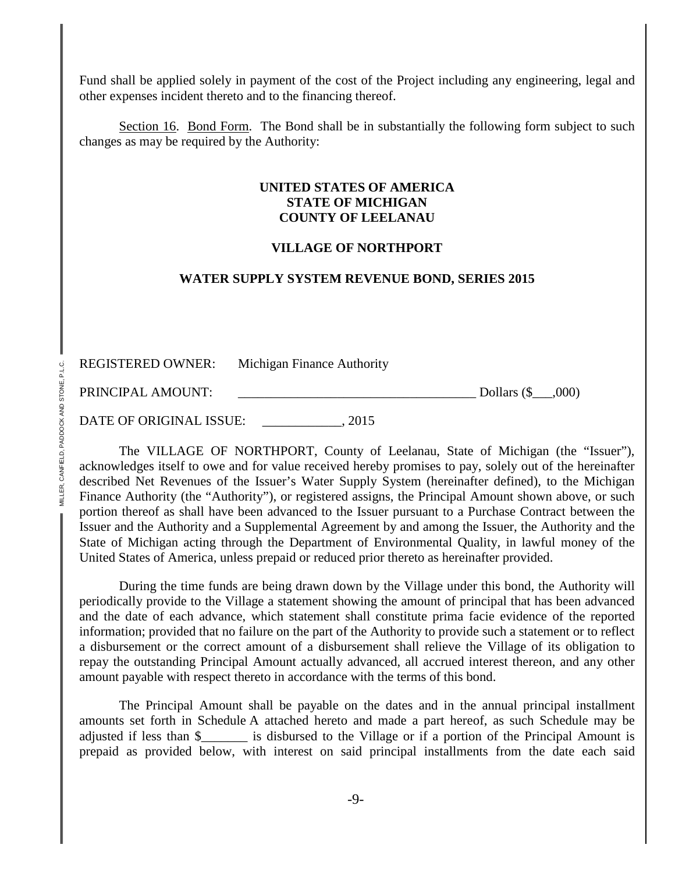Fund shall be applied solely in payment of the cost of the Project including any engineering, legal and other expenses incident thereto and to the financing thereof.

Section 16. Bond Form. The Bond shall be in substantially the following form subject to such changes as may be required by the Authority:

## **UNITED STATES OF AMERICA STATE OF MICHIGAN COUNTY OF LEELANAU**

## **VILLAGE OF NORTHPORT**

### **WATER SUPPLY SYSTEM REVENUE BOND, SERIES 2015**

REGISTERED OWNER: Michigan Finance Authority

PRINCIPAL AMOUNT: \_\_\_\_\_\_\_\_\_\_\_\_\_\_\_\_\_\_\_\_\_\_\_\_\_\_\_\_\_\_\_\_\_\_\_\_ Dollars (\$\_\_\_,000)

DATE OF ORIGINAL ISSUE: 2015

The VILLAGE OF NORTHPORT, County of Leelanau, State of Michigan (the "Issuer"), acknowledges itself to owe and for value received hereby promises to pay, solely out of the hereinafter described Net Revenues of the Issuer's Water Supply System (hereinafter defined), to the Michigan Finance Authority (the "Authority"), or registered assigns, the Principal Amount shown above, or such portion thereof as shall have been advanced to the Issuer pursuant to a Purchase Contract between the Issuer and the Authority and a Supplemental Agreement by and among the Issuer, the Authority and the State of Michigan acting through the Department of Environmental Quality, in lawful money of the United States of America, unless prepaid or reduced prior thereto as hereinafter provided.

During the time funds are being drawn down by the Village under this bond, the Authority will periodically provide to the Village a statement showing the amount of principal that has been advanced and the date of each advance, which statement shall constitute prima facie evidence of the reported information; provided that no failure on the part of the Authority to provide such a statement or to reflect a disbursement or the correct amount of a disbursement shall relieve the Village of its obligation to repay the outstanding Principal Amount actually advanced, all accrued interest thereon, and any other amount payable with respect thereto in accordance with the terms of this bond.

The Principal Amount shall be payable on the dates and in the annual principal installment amounts set forth in Schedule A attached hereto and made a part hereof, as such Schedule may be adjusted if less than \$\_\_\_\_\_\_\_ is disbursed to the Village or if a portion of the Principal Amount is prepaid as provided below, with interest on said principal installments from the date each said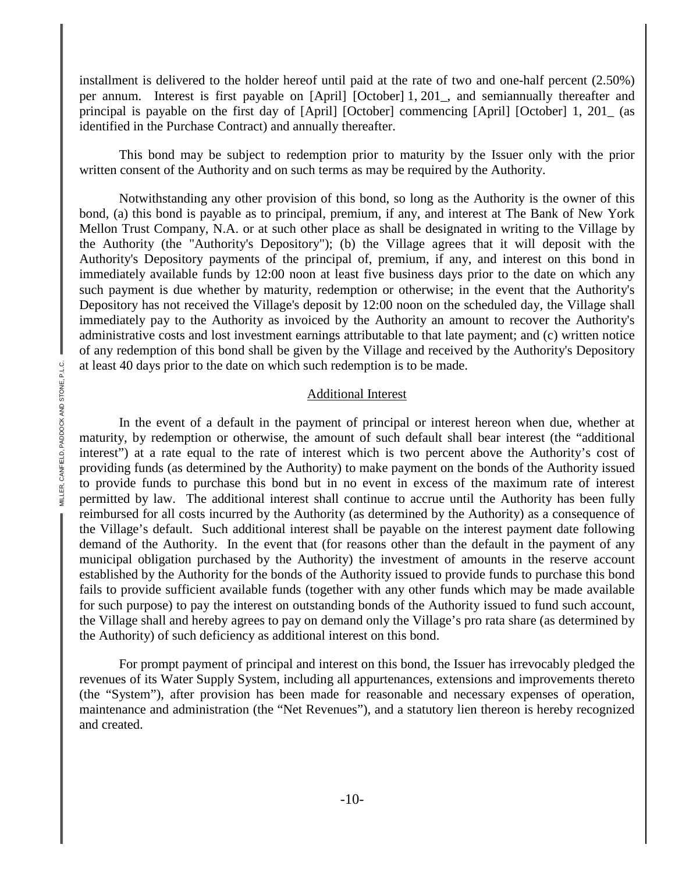installment is delivered to the holder hereof until paid at the rate of two and one-half percent (2.50%) per annum. Interest is first payable on [April] [October] 1, 201\_, and semiannually thereafter and principal is payable on the first day of [April] [October] commencing [April] [October] 1, 201\_ (as identified in the Purchase Contract) and annually thereafter.

This bond may be subject to redemption prior to maturity by the Issuer only with the prior written consent of the Authority and on such terms as may be required by the Authority.

Notwithstanding any other provision of this bond, so long as the Authority is the owner of this bond, (a) this bond is payable as to principal, premium, if any, and interest at The Bank of New York Mellon Trust Company, N.A. or at such other place as shall be designated in writing to the Village by the Authority (the "Authority's Depository"); (b) the Village agrees that it will deposit with the Authority's Depository payments of the principal of, premium, if any, and interest on this bond in immediately available funds by 12:00 noon at least five business days prior to the date on which any such payment is due whether by maturity, redemption or otherwise; in the event that the Authority's Depository has not received the Village's deposit by 12:00 noon on the scheduled day, the Village shall immediately pay to the Authority as invoiced by the Authority an amount to recover the Authority's administrative costs and lost investment earnings attributable to that late payment; and (c) written notice of any redemption of this bond shall be given by the Village and received by the Authority's Depository at least 40 days prior to the date on which such redemption is to be made.

## Additional Interest

In the event of a default in the payment of principal or interest hereon when due, whether at maturity, by redemption or otherwise, the amount of such default shall bear interest (the "additional interest") at a rate equal to the rate of interest which is two percent above the Authority's cost of providing funds (as determined by the Authority) to make payment on the bonds of the Authority issued to provide funds to purchase this bond but in no event in excess of the maximum rate of interest permitted by law. The additional interest shall continue to accrue until the Authority has been fully reimbursed for all costs incurred by the Authority (as determined by the Authority) as a consequence of the Village's default. Such additional interest shall be payable on the interest payment date following demand of the Authority. In the event that (for reasons other than the default in the payment of any municipal obligation purchased by the Authority) the investment of amounts in the reserve account established by the Authority for the bonds of the Authority issued to provide funds to purchase this bond fails to provide sufficient available funds (together with any other funds which may be made available for such purpose) to pay the interest on outstanding bonds of the Authority issued to fund such account, the Village shall and hereby agrees to pay on demand only the Village's pro rata share (as determined by the Authority) of such deficiency as additional interest on this bond.

For prompt payment of principal and interest on this bond, the Issuer has irrevocably pledged the revenues of its Water Supply System, including all appurtenances, extensions and improvements thereto (the "System"), after provision has been made for reasonable and necessary expenses of operation, maintenance and administration (the "Net Revenues"), and a statutory lien thereon is hereby recognized and created.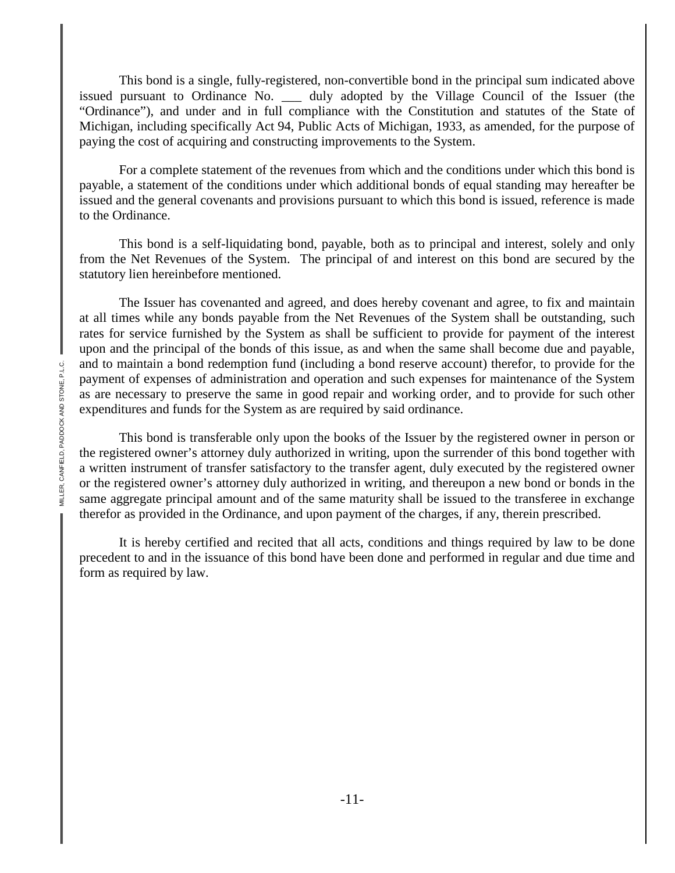This bond is a single, fully-registered, non-convertible bond in the principal sum indicated above issued pursuant to Ordinance No. \_\_\_ duly adopted by the Village Council of the Issuer (the "Ordinance"), and under and in full compliance with the Constitution and statutes of the State of Michigan, including specifically Act 94, Public Acts of Michigan, 1933, as amended, for the purpose of paying the cost of acquiring and constructing improvements to the System.

For a complete statement of the revenues from which and the conditions under which this bond is payable, a statement of the conditions under which additional bonds of equal standing may hereafter be issued and the general covenants and provisions pursuant to which this bond is issued, reference is made to the Ordinance.

This bond is a self-liquidating bond, payable, both as to principal and interest, solely and only from the Net Revenues of the System. The principal of and interest on this bond are secured by the statutory lien hereinbefore mentioned.

The Issuer has covenanted and agreed, and does hereby covenant and agree, to fix and maintain at all times while any bonds payable from the Net Revenues of the System shall be outstanding, such rates for service furnished by the System as shall be sufficient to provide for payment of the interest upon and the principal of the bonds of this issue, as and when the same shall become due and payable, and to maintain a bond redemption fund (including a bond reserve account) therefor, to provide for the payment of expenses of administration and operation and such expenses for maintenance of the System as are necessary to preserve the same in good repair and working order, and to provide for such other expenditures and funds for the System as are required by said ordinance.

This bond is transferable only upon the books of the Issuer by the registered owner in person or the registered owner's attorney duly authorized in writing, upon the surrender of this bond together with a written instrument of transfer satisfactory to the transfer agent, duly executed by the registered owner or the registered owner's attorney duly authorized in writing, and thereupon a new bond or bonds in the same aggregate principal amount and of the same maturity shall be issued to the transferee in exchange therefor as provided in the Ordinance, and upon payment of the charges, if any, therein prescribed.

It is hereby certified and recited that all acts, conditions and things required by law to be done precedent to and in the issuance of this bond have been done and performed in regular and due time and form as required by law.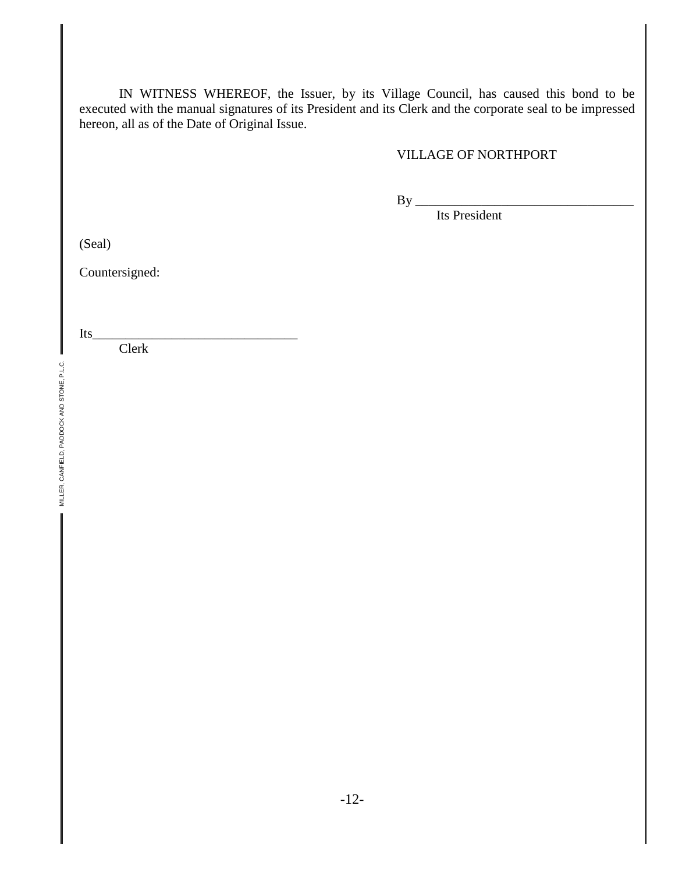IN WITNESS WHEREOF, the Issuer, by its Village Council, has caused this bond to be executed with the manual signatures of its President and its Clerk and the corporate seal to be impressed hereon, all as of the Date of Original Issue.

# VILLAGE OF NORTHPORT

 $By$ <sub>—</sub>

Its President

(Seal)

Countersigned:

Its\_\_\_\_\_\_\_\_\_\_\_\_\_\_\_\_\_\_\_\_\_\_\_\_\_\_\_\_\_\_\_

Clerk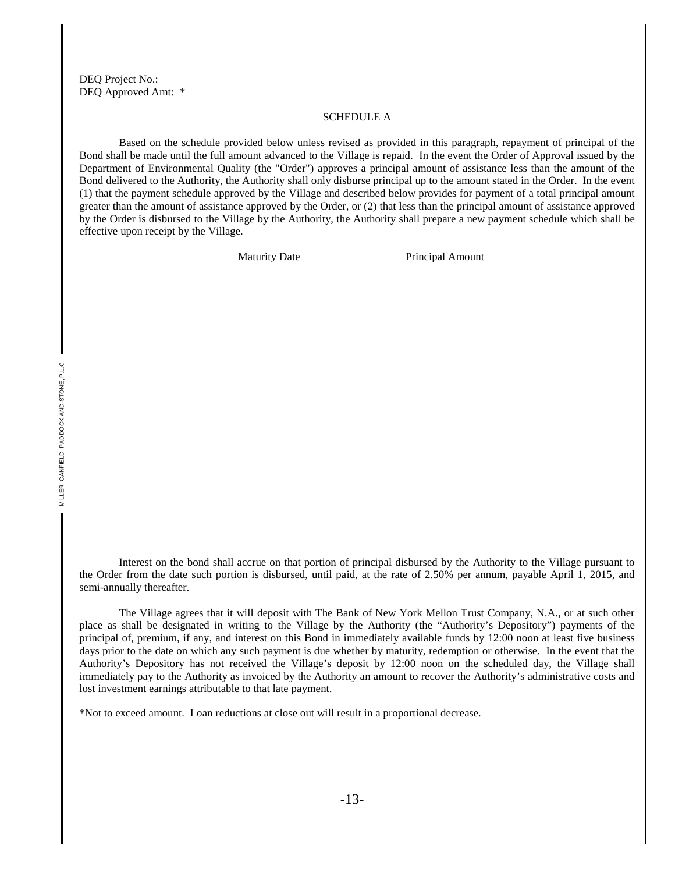DEQ Project No.: DEQ Approved Amt: \*

#### SCHEDULE A

Based on the schedule provided below unless revised as provided in this paragraph, repayment of principal of the Bond shall be made until the full amount advanced to the Village is repaid. In the event the Order of Approval issued by the Department of Environmental Quality (the "Order") approves a principal amount of assistance less than the amount of the Bond delivered to the Authority, the Authority shall only disburse principal up to the amount stated in the Order. In the event (1) that the payment schedule approved by the Village and described below provides for payment of a total principal amount greater than the amount of assistance approved by the Order, or (2) that less than the principal amount of assistance approved by the Order is disbursed to the Village by the Authority, the Authority shall prepare a new payment schedule which shall be effective upon receipt by the Village.

Maturity Date Principal Amount

Interest on the bond shall accrue on that portion of principal disbursed by the Authority to the Village pursuant to the Order from the date such portion is disbursed, until paid, at the rate of 2.50% per annum, payable April 1, 2015, and semi-annually thereafter.

The Village agrees that it will deposit with The Bank of New York Mellon Trust Company, N.A., or at such other place as shall be designated in writing to the Village by the Authority (the "Authority's Depository") payments of the principal of, premium, if any, and interest on this Bond in immediately available funds by 12:00 noon at least five business days prior to the date on which any such payment is due whether by maturity, redemption or otherwise. In the event that the Authority's Depository has not received the Village's deposit by 12:00 noon on the scheduled day, the Village shall immediately pay to the Authority as invoiced by the Authority an amount to recover the Authority's administrative costs and lost investment earnings attributable to that late payment.

\*Not to exceed amount. Loan reductions at close out will result in a proportional decrease.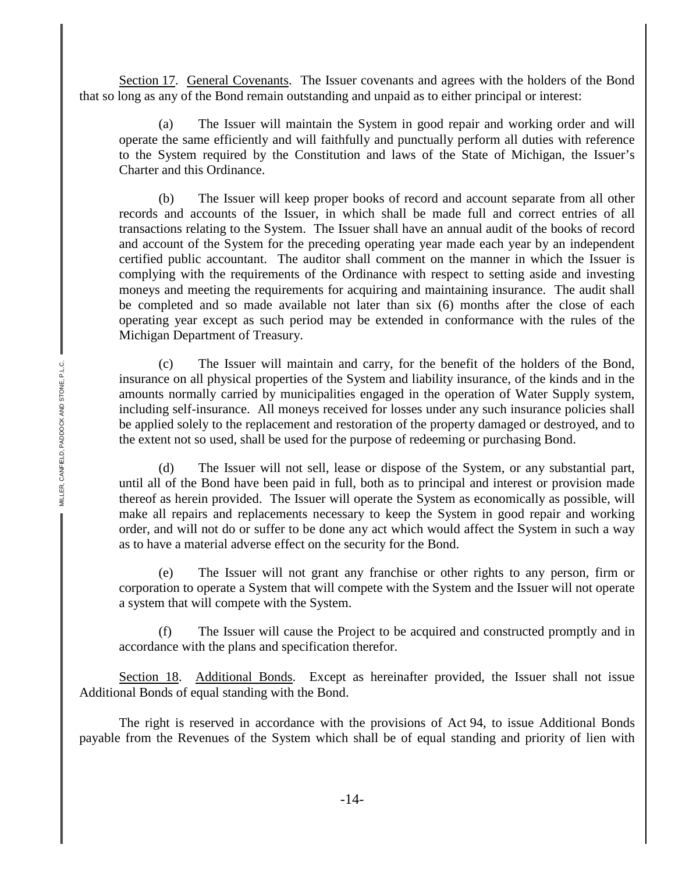Section 17. General Covenants. The Issuer covenants and agrees with the holders of the Bond that so long as any of the Bond remain outstanding and unpaid as to either principal or interest:

(a) The Issuer will maintain the System in good repair and working order and will operate the same efficiently and will faithfully and punctually perform all duties with reference to the System required by the Constitution and laws of the State of Michigan, the Issuer's Charter and this Ordinance.

(b) The Issuer will keep proper books of record and account separate from all other records and accounts of the Issuer, in which shall be made full and correct entries of all transactions relating to the System. The Issuer shall have an annual audit of the books of record and account of the System for the preceding operating year made each year by an independent certified public accountant. The auditor shall comment on the manner in which the Issuer is complying with the requirements of the Ordinance with respect to setting aside and investing moneys and meeting the requirements for acquiring and maintaining insurance. The audit shall be completed and so made available not later than six (6) months after the close of each operating year except as such period may be extended in conformance with the rules of the Michigan Department of Treasury.

(c) The Issuer will maintain and carry, for the benefit of the holders of the Bond, insurance on all physical properties of the System and liability insurance, of the kinds and in the amounts normally carried by municipalities engaged in the operation of Water Supply system, including self-insurance. All moneys received for losses under any such insurance policies shall be applied solely to the replacement and restoration of the property damaged or destroyed, and to the extent not so used, shall be used for the purpose of redeeming or purchasing Bond.

(d) The Issuer will not sell, lease or dispose of the System, or any substantial part, until all of the Bond have been paid in full, both as to principal and interest or provision made thereof as herein provided. The Issuer will operate the System as economically as possible, will make all repairs and replacements necessary to keep the System in good repair and working order, and will not do or suffer to be done any act which would affect the System in such a way as to have a material adverse effect on the security for the Bond.

(e) The Issuer will not grant any franchise or other rights to any person, firm or corporation to operate a System that will compete with the System and the Issuer will not operate a system that will compete with the System.

(f) The Issuer will cause the Project to be acquired and constructed promptly and in accordance with the plans and specification therefor.

Section 18. Additional Bonds. Except as hereinafter provided, the Issuer shall not issue Additional Bonds of equal standing with the Bond.

The right is reserved in accordance with the provisions of Act 94, to issue Additional Bonds payable from the Revenues of the System which shall be of equal standing and priority of lien with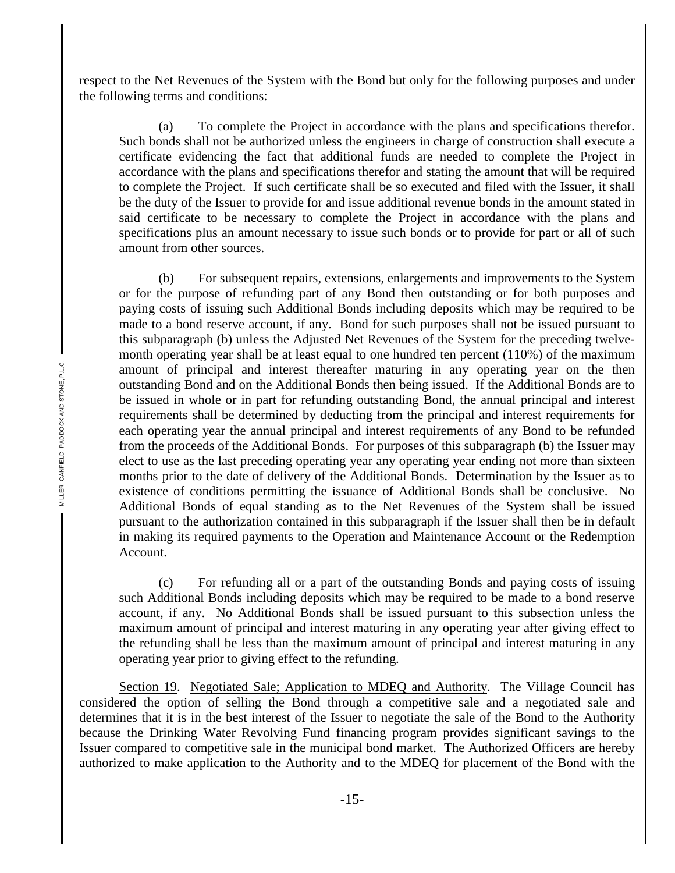respect to the Net Revenues of the System with the Bond but only for the following purposes and under the following terms and conditions:

(a) To complete the Project in accordance with the plans and specifications therefor. Such bonds shall not be authorized unless the engineers in charge of construction shall execute a certificate evidencing the fact that additional funds are needed to complete the Project in accordance with the plans and specifications therefor and stating the amount that will be required to complete the Project. If such certificate shall be so executed and filed with the Issuer, it shall be the duty of the Issuer to provide for and issue additional revenue bonds in the amount stated in said certificate to be necessary to complete the Project in accordance with the plans and specifications plus an amount necessary to issue such bonds or to provide for part or all of such amount from other sources.

(b) For subsequent repairs, extensions, enlargements and improvements to the System or for the purpose of refunding part of any Bond then outstanding or for both purposes and paying costs of issuing such Additional Bonds including deposits which may be required to be made to a bond reserve account, if any. Bond for such purposes shall not be issued pursuant to this subparagraph (b) unless the Adjusted Net Revenues of the System for the preceding twelvemonth operating year shall be at least equal to one hundred ten percent (110%) of the maximum amount of principal and interest thereafter maturing in any operating year on the then outstanding Bond and on the Additional Bonds then being issued. If the Additional Bonds are to be issued in whole or in part for refunding outstanding Bond, the annual principal and interest requirements shall be determined by deducting from the principal and interest requirements for each operating year the annual principal and interest requirements of any Bond to be refunded from the proceeds of the Additional Bonds. For purposes of this subparagraph (b) the Issuer may elect to use as the last preceding operating year any operating year ending not more than sixteen months prior to the date of delivery of the Additional Bonds. Determination by the Issuer as to existence of conditions permitting the issuance of Additional Bonds shall be conclusive. No Additional Bonds of equal standing as to the Net Revenues of the System shall be issued pursuant to the authorization contained in this subparagraph if the Issuer shall then be in default in making its required payments to the Operation and Maintenance Account or the Redemption Account.

(c) For refunding all or a part of the outstanding Bonds and paying costs of issuing such Additional Bonds including deposits which may be required to be made to a bond reserve account, if any. No Additional Bonds shall be issued pursuant to this subsection unless the maximum amount of principal and interest maturing in any operating year after giving effect to the refunding shall be less than the maximum amount of principal and interest maturing in any operating year prior to giving effect to the refunding.

Section 19. Negotiated Sale; Application to MDEQ and Authority. The Village Council has considered the option of selling the Bond through a competitive sale and a negotiated sale and determines that it is in the best interest of the Issuer to negotiate the sale of the Bond to the Authority because the Drinking Water Revolving Fund financing program provides significant savings to the Issuer compared to competitive sale in the municipal bond market. The Authorized Officers are hereby authorized to make application to the Authority and to the MDEQ for placement of the Bond with the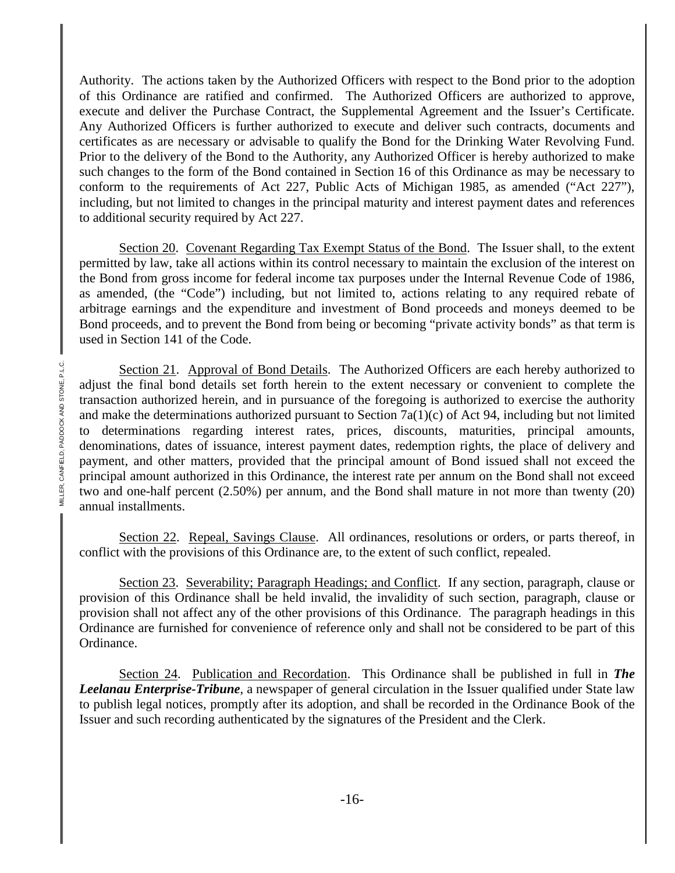Authority. The actions taken by the Authorized Officers with respect to the Bond prior to the adoption of this Ordinance are ratified and confirmed. The Authorized Officers are authorized to approve, execute and deliver the Purchase Contract, the Supplemental Agreement and the Issuer's Certificate. Any Authorized Officers is further authorized to execute and deliver such contracts, documents and certificates as are necessary or advisable to qualify the Bond for the Drinking Water Revolving Fund. Prior to the delivery of the Bond to the Authority, any Authorized Officer is hereby authorized to make such changes to the form of the Bond contained in Section 16 of this Ordinance as may be necessary to conform to the requirements of Act 227, Public Acts of Michigan 1985, as amended ("Act 227"), including, but not limited to changes in the principal maturity and interest payment dates and references to additional security required by Act 227.

Section 20. Covenant Regarding Tax Exempt Status of the Bond. The Issuer shall, to the extent permitted by law, take all actions within its control necessary to maintain the exclusion of the interest on the Bond from gross income for federal income tax purposes under the Internal Revenue Code of 1986, as amended, (the "Code") including, but not limited to, actions relating to any required rebate of arbitrage earnings and the expenditure and investment of Bond proceeds and moneys deemed to be Bond proceeds, and to prevent the Bond from being or becoming "private activity bonds" as that term is used in Section 141 of the Code.

Section 21. Approval of Bond Details. The Authorized Officers are each hereby authorized to adjust the final bond details set forth herein to the extent necessary or convenient to complete the transaction authorized herein, and in pursuance of the foregoing is authorized to exercise the authority and make the determinations authorized pursuant to Section 7a(1)(c) of Act 94, including but not limited to determinations regarding interest rates, prices, discounts, maturities, principal amounts, denominations, dates of issuance, interest payment dates, redemption rights, the place of delivery and payment, and other matters, provided that the principal amount of Bond issued shall not exceed the principal amount authorized in this Ordinance, the interest rate per annum on the Bond shall not exceed two and one-half percent (2.50%) per annum, and the Bond shall mature in not more than twenty (20) annual installments.

Section 22. Repeal, Savings Clause. All ordinances, resolutions or orders, or parts thereof, in conflict with the provisions of this Ordinance are, to the extent of such conflict, repealed.

Section 23. Severability; Paragraph Headings; and Conflict. If any section, paragraph, clause or provision of this Ordinance shall be held invalid, the invalidity of such section, paragraph, clause or provision shall not affect any of the other provisions of this Ordinance. The paragraph headings in this Ordinance are furnished for convenience of reference only and shall not be considered to be part of this Ordinance.

Section 24. Publication and Recordation. This Ordinance shall be published in full in *The Leelanau Enterprise-Tribune*, a newspaper of general circulation in the Issuer qualified under State law to publish legal notices, promptly after its adoption, and shall be recorded in the Ordinance Book of the Issuer and such recording authenticated by the signatures of the President and the Clerk.